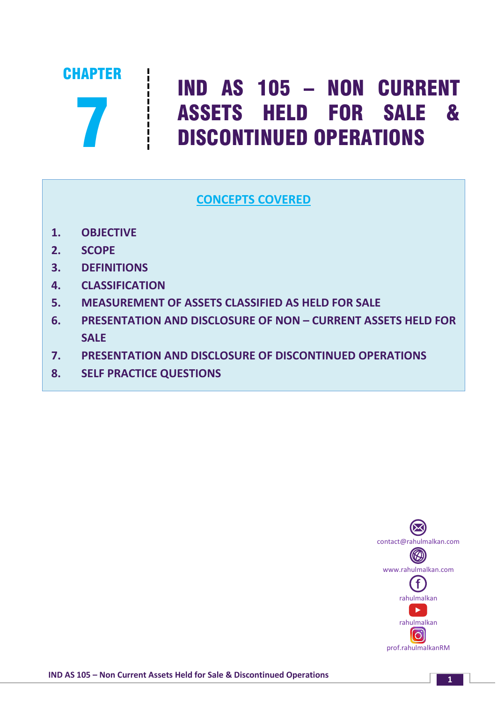

# IND AS 105 – NON CURRENT ASSETS HELD FOR SALE & DISCONTINUED OPERATIONS

# **CONCEPTS COVERED**

- **1. OBJECTIVE**
- **2. SCOPE**
- **3. DEFINITIONS**
- **4. CLASSIFICATION**
- **5. MEASUREMENT OF ASSETS CLASSIFIED AS HELD FOR SALE**
- **6. PRESENTATION AND DISCLOSURE OF NON – CURRENT ASSETS HELD FOR SALE**
- **7. PRESENTATION AND DISCLOSURE OF DISCONTINUED OPERATIONS**
- **8. SELF PRACTICE QUESTIONS**



**<sup>1</sup> IND AS 105 – Non Current Assets Held for Sale & Discontinued Operations**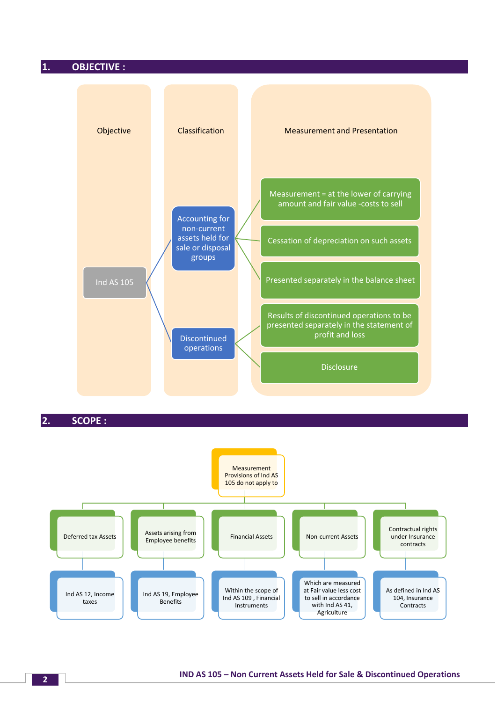#### **1. OBJECTIVE :**



**2. SCOPE :**

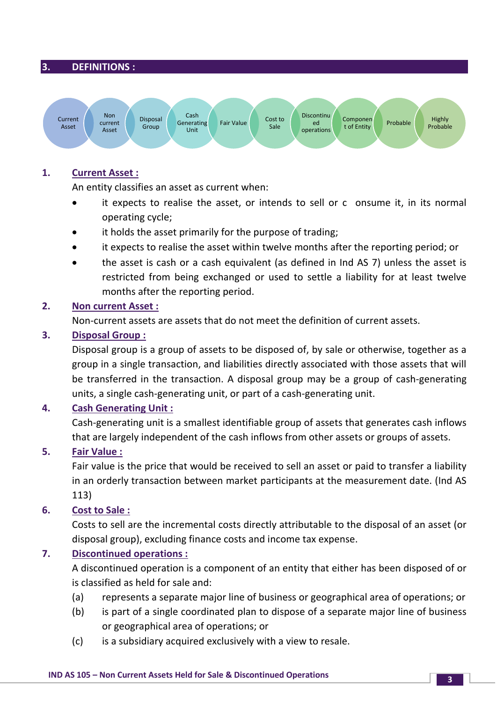#### **3. DEFINITIONS :**



#### **1. Current Asset :**

An entity classifies an asset as current when:

- it expects to realise the asset, or intends to sell or c onsume it, in its normal operating cycle;
- it holds the asset primarily for the purpose of trading;
- it expects to realise the asset within twelve months after the reporting period; or
- the asset is cash or a cash equivalent (as defined in Ind AS 7) unless the asset is restricted from being exchanged or used to settle a liability for at least twelve months after the reporting period.

#### **2. Non current Asset :**

Non-current assets are assets that do not meet the definition of current assets.

#### **3. Disposal Group :**

Disposal group is a group of assets to be disposed of, by sale or otherwise, together as a group in a single transaction, and liabilities directly associated with those assets that will be transferred in the transaction. A disposal group may be a group of cash-generating units, a single cash-generating unit, or part of a cash-generating unit.

## **4. Cash Generating Unit :**

Cash-generating unit is a smallest identifiable group of assets that generates cash inflows that are largely independent of the cash inflows from other assets or groups of assets.

## **5. Fair Value :**

Fair value is the price that would be received to sell an asset or paid to transfer a liability in an orderly transaction between market participants at the measurement date. (Ind AS 113)

#### **6. Cost to Sale :**

Costs to sell are the incremental costs directly attributable to the disposal of an asset (or disposal group), excluding finance costs and income tax expense.

## **7. Discontinued operations :**

A discontinued operation is a component of an entity that either has been disposed of or is classified as held for sale and:

- (a) represents a separate major line of business or geographical area of operations; or
- (b) is part of a single coordinated plan to dispose of a separate major line of business or geographical area of operations; or
- (c) is a subsidiary acquired exclusively with a view to resale.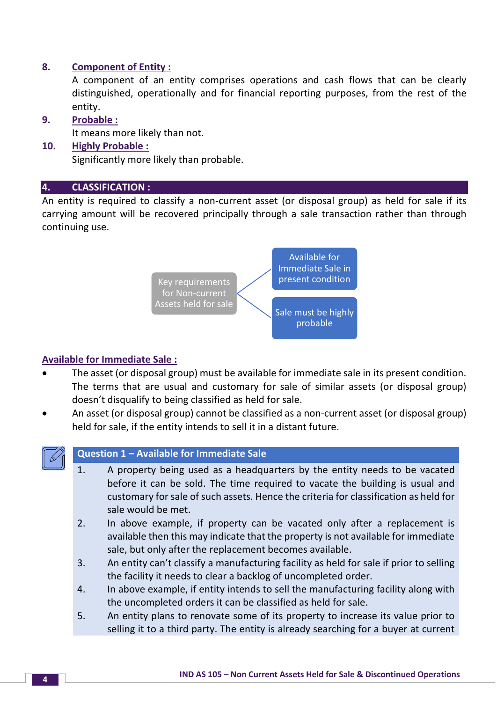## **8. Component of Entity :**

A component of an entity comprises operations and cash flows that can be clearly distinguished, operationally and for financial reporting purposes, from the rest of the entity.

#### **9. Probable :**

It means more likely than not.

## **10. Highly Probable :**

Significantly more likely than probable.

## **4. CLASSIFICATION :**

An entity is required to classify a non-current asset (or disposal group) as held for sale if its carrying amount will be recovered principally through a sale transaction rather than through continuing use.



## **Available for Immediate Sale :**

- The asset (or disposal group) must be available for immediate sale in its present condition. The terms that are usual and customary for sale of similar assets (or disposal group) doesn't disqualify to being classified as held for sale.
- An asset (or disposal group) cannot be classified as a non-current asset (or disposal group) held for sale, if the entity intends to sell it in a distant future.



## **Question 1 – Available for Immediate Sale**

- 1. A property being used as a headquarters by the entity needs to be vacated before it can be sold. The time required to vacate the building is usual and customary for sale of such assets. Hence the criteria for classification as held for sale would be met.
- 2. In above example, if property can be vacated only after a replacement is available then this may indicate that the property is not available for immediate sale, but only after the replacement becomes available.
- 3. An entity can't classify a manufacturing facility as held for sale if prior to selling the facility it needs to clear a backlog of uncompleted order.
- 4. In above example, if entity intends to sell the manufacturing facility along with the uncompleted orders it can be classified as held for sale.
- 5. An entity plans to renovate some of its property to increase its value prior to selling it to a third party. The entity is already searching for a buyer at current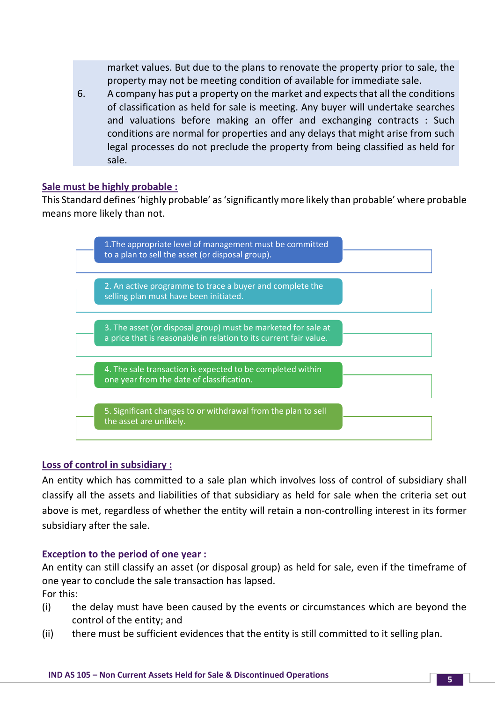market values. But due to the plans to renovate the property prior to sale, the property may not be meeting condition of available for immediate sale.

6. A company has put a property on the market and expects that all the conditions of classification as held for sale is meeting. Any buyer will undertake searches and valuations before making an offer and exchanging contracts : Such conditions are normal for properties and any delays that might arise from such legal processes do not preclude the property from being classified as held for sale.

#### **Sale must be highly probable :**

This Standard defines 'highly probable' as 'significantly more likely than probable' where probable means more likely than not.



## **Loss of control in subsidiary :**

An entity which has committed to a sale plan which involves loss of control of subsidiary shall classify all the assets and liabilities of that subsidiary as held for sale when the criteria set out above is met, regardless of whether the entity will retain a non-controlling interest in its former subsidiary after the sale.

#### **Exception to the period of one year :**

An entity can still classify an asset (or disposal group) as held for sale, even if the timeframe of one year to conclude the sale transaction has lapsed.

For this:

- (i) the delay must have been caused by the events or circumstances which are beyond the control of the entity; and
- (ii) there must be sufficient evidences that the entity is still committed to it selling plan.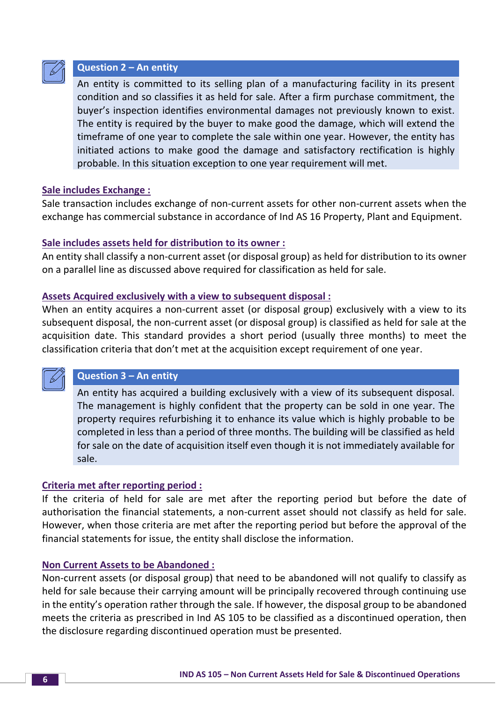

## **Question 2 – An entity**

An entity is committed to its selling plan of a manufacturing facility in its present condition and so classifies it as held for sale. After a firm purchase commitment, the buyer's inspection identifies environmental damages not previously known to exist. The entity is required by the buyer to make good the damage, which will extend the timeframe of one year to complete the sale within one year. However, the entity has initiated actions to make good the damage and satisfactory rectification is highly probable. In this situation exception to one year requirement will met.

#### **Sale includes Exchange :**

Sale transaction includes exchange of non-current assets for other non-current assets when the exchange has commercial substance in accordance of Ind AS 16 Property, Plant and Equipment.

#### **Sale includes assets held for distribution to its owner :**

An entity shall classify a non-current asset (or disposal group) as held for distribution to its owner on a parallel line as discussed above required for classification as held for sale.

#### **Assets Acquired exclusively with a view to subsequent disposal :**

When an entity acquires a non-current asset (or disposal group) exclusively with a view to its subsequent disposal, the non-current asset (or disposal group) is classified as held for sale at the acquisition date. This standard provides a short period (usually three months) to meet the classification criteria that don't met at the acquisition except requirement of one year.



## **Question 3 – An entity**

An entity has acquired a building exclusively with a view of its subsequent disposal. The management is highly confident that the property can be sold in one year. The property requires refurbishing it to enhance its value which is highly probable to be completed in less than a period of three months. The building will be classified as held for sale on the date of acquisition itself even though it is not immediately available for sale.

#### **Criteria met after reporting period :**

If the criteria of held for sale are met after the reporting period but before the date of authorisation the financial statements, a non-current asset should not classify as held for sale. However, when those criteria are met after the reporting period but before the approval of the financial statements for issue, the entity shall disclose the information.

#### **Non Current Assets to be Abandoned :**

Non-current assets (or disposal group) that need to be abandoned will not qualify to classify as held for sale because their carrying amount will be principally recovered through continuing use in the entity's operation rather through the sale. If however, the disposal group to be abandoned meets the criteria as prescribed in Ind AS 105 to be classified as a discontinued operation, then the disclosure regarding discontinued operation must be presented.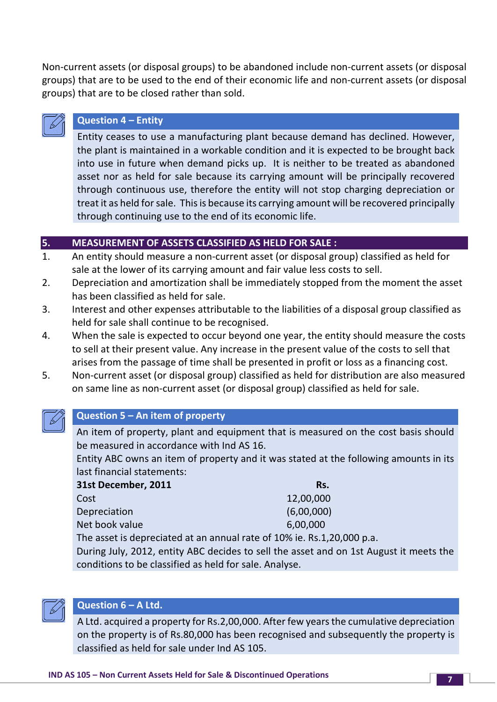Non-current assets (or disposal groups) to be abandoned include non-current assets (or disposal groups) that are to be used to the end of their economic life and non-current assets (or disposal groups) that are to be closed rather than sold.



## **Question 4 – Entity**

Entity ceases to use a manufacturing plant because demand has declined. However, the plant is maintained in a workable condition and it is expected to be brought back into use in future when demand picks up. It is neither to be treated as abandoned asset nor as held for sale because its carrying amount will be principally recovered through continuous use, therefore the entity will not stop charging depreciation or treat it as held for sale. This is because its carrying amount will be recovered principally through continuing use to the end of its economic life.

## **5. MEASUREMENT OF ASSETS CLASSIFIED AS HELD FOR SALE :**

- 1. An entity should measure a non-current asset (or disposal group) classified as held for sale at the lower of its carrying amount and fair value less costs to sell.
- 2. Depreciation and amortization shall be immediately stopped from the moment the asset has been classified as held for sale.
- 3. Interest and other expenses attributable to the liabilities of a disposal group classified as held for sale shall continue to be recognised.
- 4. When the sale is expected to occur beyond one year, the entity should measure the costs to sell at their present value. Any increase in the present value of the costs to sell that arises from the passage of time shall be presented in profit or loss as a financing cost.
- 5. Non-current asset (or disposal group) classified as held for distribution are also measured on same line as non-current asset (or disposal group) classified as held for sale.



#### **Question 5 – An item of property**

An item of property, plant and equipment that is measured on the cost basis should be measured in accordance with Ind AS 16.

Entity ABC owns an item of property and it was stated at the following amounts in its last financial statements:

| 31st December, 2011 | Rs.        |
|---------------------|------------|
| Cost                | 12,00,000  |
| Depreciation        | (6,00,000) |
| Net book value      | 6,00,000   |
|                     |            |

The asset is depreciated at an annual rate of 10% ie. Rs.1,20,000 p.a.

During July, 2012, entity ABC decides to sell the asset and on 1st August it meets the conditions to be classified as held for sale. Analyse.



#### **Question 6 – A Ltd.**

A Ltd. acquired a property for Rs.2,00,000. After few years the cumulative depreciation on the property is of Rs.80,000 has been recognised and subsequently the property is classified as held for sale under Ind AS 105.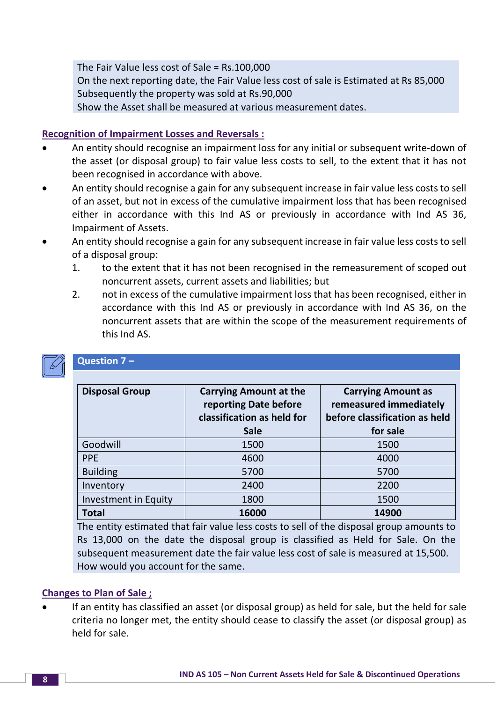The Fair Value less cost of Sale = Rs.100,000 On the next reporting date, the Fair Value less cost of sale is Estimated at Rs 85,000 Subsequently the property was sold at Rs.90,000 Show the Asset shall be measured at various measurement dates.

## **Recognition of Impairment Losses and Reversals :**

- An entity should recognise an impairment loss for any initial or subsequent write-down of the asset (or disposal group) to fair value less costs to sell, to the extent that it has not been recognised in accordance with above.
- An entity should recognise a gain for any subsequent increase in fair value less costs to sell of an asset, but not in excess of the cumulative impairment loss that has been recognised either in accordance with this Ind AS or previously in accordance with Ind AS 36, Impairment of Assets.
- An entity should recognise a gain for any subsequent increase in fair value less costs to sell of a disposal group:
	- 1. to the extent that it has not been recognised in the remeasurement of scoped out noncurrent assets, current assets and liabilities; but
	- 2. not in excess of the cumulative impairment loss that has been recognised, either in accordance with this Ind AS or previously in accordance with Ind AS 36, on the noncurrent assets that are within the scope of the measurement requirements of this Ind AS.

## **Question 7 –**

| <b>Disposal Group</b> | <b>Carrying Amount at the</b><br>reporting Date before<br>classification as held for<br><b>Sale</b> | <b>Carrying Amount as</b><br>remeasured immediately<br>before classification as held<br>for sale |
|-----------------------|-----------------------------------------------------------------------------------------------------|--------------------------------------------------------------------------------------------------|
| Goodwill              | 1500                                                                                                | 1500                                                                                             |
| <b>PPE</b>            | 4600                                                                                                | 4000                                                                                             |
| <b>Building</b>       | 5700                                                                                                | 5700                                                                                             |
| Inventory             | 2400                                                                                                | 2200                                                                                             |
| Investment in Equity  | 1800                                                                                                | 1500                                                                                             |
| <b>Total</b>          | 16000                                                                                               | 14900                                                                                            |

The entity estimated that fair value less costs to sell of the disposal group amounts to Rs 13,000 on the date the disposal group is classified as Held for Sale. On the subsequent measurement date the fair value less cost of sale is measured at 15,500. How would you account for the same.

## **Changes to Plan of Sale ;**

• If an entity has classified an asset (or disposal group) as held for sale, but the held for sale criteria no longer met, the entity should cease to classify the asset (or disposal group) as held for sale.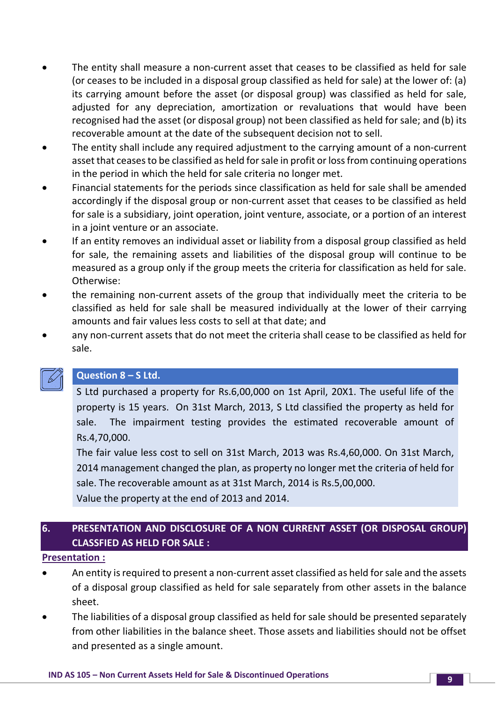- The entity shall measure a non-current asset that ceases to be classified as held for sale (or ceases to be included in a disposal group classified as held for sale) at the lower of: (a) its carrying amount before the asset (or disposal group) was classified as held for sale, adjusted for any depreciation, amortization or revaluations that would have been recognised had the asset (or disposal group) not been classified as held for sale; and (b) its recoverable amount at the date of the subsequent decision not to sell.
- The entity shall include any required adjustment to the carrying amount of a non-current asset that ceases to be classified as held for sale in profit or loss from continuing operations in the period in which the held for sale criteria no longer met.
- Financial statements for the periods since classification as held for sale shall be amended accordingly if the disposal group or non-current asset that ceases to be classified as held for sale is a subsidiary, joint operation, joint venture, associate, or a portion of an interest in a joint venture or an associate.
- If an entity removes an individual asset or liability from a disposal group classified as held for sale, the remaining assets and liabilities of the disposal group will continue to be measured as a group only if the group meets the criteria for classification as held for sale. Otherwise:
- the remaining non-current assets of the group that individually meet the criteria to be classified as held for sale shall be measured individually at the lower of their carrying amounts and fair values less costs to sell at that date; and
- any non-current assets that do not meet the criteria shall cease to be classified as held for sale.



## **Question 8 – S Ltd.**

S Ltd purchased a property for Rs.6,00,000 on 1st April, 20X1. The useful life of the property is 15 years. On 31st March, 2013, S Ltd classified the property as held for sale. The impairment testing provides the estimated recoverable amount of Rs.4,70,000.

The fair value less cost to sell on 31st March, 2013 was Rs.4,60,000. On 31st March, 2014 management changed the plan, as property no longer met the criteria of held for sale. The recoverable amount as at 31st March, 2014 is Rs.5,00,000.

Value the property at the end of 2013 and 2014.

# **6. PRESENTATION AND DISCLOSURE OF A NON CURRENT ASSET (OR DISPOSAL GROUP) CLASSFIED AS HELD FOR SALE :**

#### **Presentation :**

- An entity is required to present a non-current asset classified as held for sale and the assets of a disposal group classified as held for sale separately from other assets in the balance sheet.
- The liabilities of a disposal group classified as held for sale should be presented separately from other liabilities in the balance sheet. Those assets and liabilities should not be offset and presented as a single amount.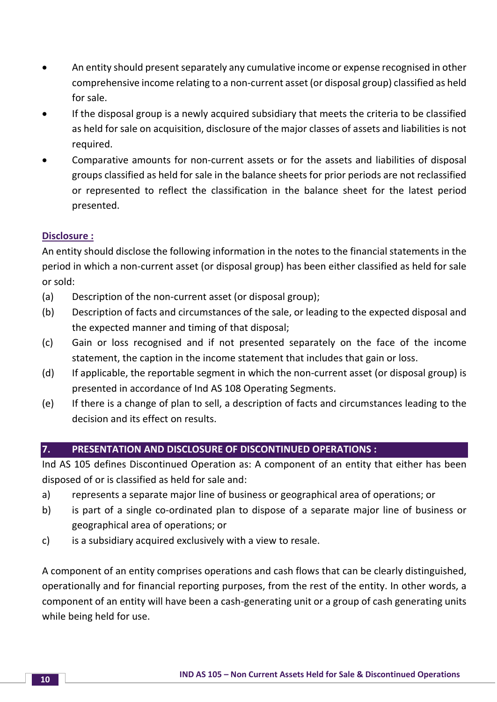- An entity should present separately any cumulative income or expense recognised in other comprehensive income relating to a non-current asset (or disposal group) classified as held for sale.
- If the disposal group is a newly acquired subsidiary that meets the criteria to be classified as held for sale on acquisition, disclosure of the major classes of assets and liabilities is not required.
- Comparative amounts for non-current assets or for the assets and liabilities of disposal groups classified as held for sale in the balance sheets for prior periods are not reclassified or represented to reflect the classification in the balance sheet for the latest period presented.

## **Disclosure :**

An entity should disclose the following information in the notes to the financial statements in the period in which a non-current asset (or disposal group) has been either classified as held for sale or sold:

- (a) Description of the non-current asset (or disposal group);
- (b) Description of facts and circumstances of the sale, or leading to the expected disposal and the expected manner and timing of that disposal;
- (c) Gain or loss recognised and if not presented separately on the face of the income statement, the caption in the income statement that includes that gain or loss.
- (d) If applicable, the reportable segment in which the non-current asset (or disposal group) is presented in accordance of Ind AS 108 Operating Segments.
- (e) If there is a change of plan to sell, a description of facts and circumstances leading to the decision and its effect on results.

## **7. PRESENTATION AND DISCLOSURE OF DISCONTINUED OPERATIONS :**

Ind AS 105 defines Discontinued Operation as: A component of an entity that either has been disposed of or is classified as held for sale and:

- a) represents a separate major line of business or geographical area of operations; or
- b) is part of a single co-ordinated plan to dispose of a separate major line of business or geographical area of operations; or
- c) is a subsidiary acquired exclusively with a view to resale.

A component of an entity comprises operations and cash flows that can be clearly distinguished, operationally and for financial reporting purposes, from the rest of the entity. In other words, a component of an entity will have been a cash-generating unit or a group of cash generating units while being held for use.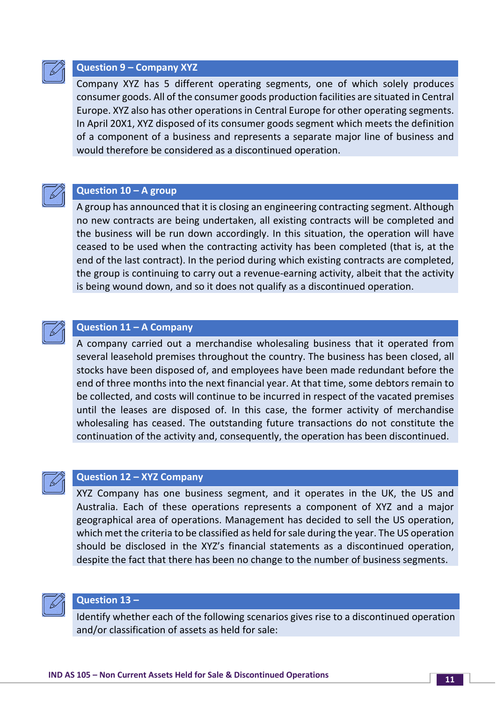

#### **Question 9 – Company XYZ**

Company XYZ has 5 different operating segments, one of which solely produces consumer goods. All of the consumer goods production facilities are situated in Central Europe. XYZ also has other operations in Central Europe for other operating segments. In April 20X1, XYZ disposed of its consumer goods segment which meets the definition of a component of a business and represents a separate major line of business and would therefore be considered as a discontinued operation.



#### **Question 10 – A group**

A group has announced that it is closing an engineering contracting segment. Although no new contracts are being undertaken, all existing contracts will be completed and the business will be run down accordingly. In this situation, the operation will have ceased to be used when the contracting activity has been completed (that is, at the end of the last contract). In the period during which existing contracts are completed, the group is continuing to carry out a revenue-earning activity, albeit that the activity is being wound down, and so it does not qualify as a discontinued operation.



#### **Question 11 – A Company**

A company carried out a merchandise wholesaling business that it operated from several leasehold premises throughout the country. The business has been closed, all stocks have been disposed of, and employees have been made redundant before the end of three months into the next financial year. At that time, some debtors remain to be collected, and costs will continue to be incurred in respect of the vacated premises until the leases are disposed of. In this case, the former activity of merchandise wholesaling has ceased. The outstanding future transactions do not constitute the continuation of the activity and, consequently, the operation has been discontinued.



#### **Question 12 – XYZ Company**

XYZ Company has one business segment, and it operates in the UK, the US and Australia. Each of these operations represents a component of XYZ and a major geographical area of operations. Management has decided to sell the US operation, which met the criteria to be classified as held for sale during the year. The US operation should be disclosed in the XYZ's financial statements as a discontinued operation, despite the fact that there has been no change to the number of business segments.



#### **Question 13 –**

Identify whether each of the following scenarios gives rise to a discontinued operation and/or classification of assets as held for sale: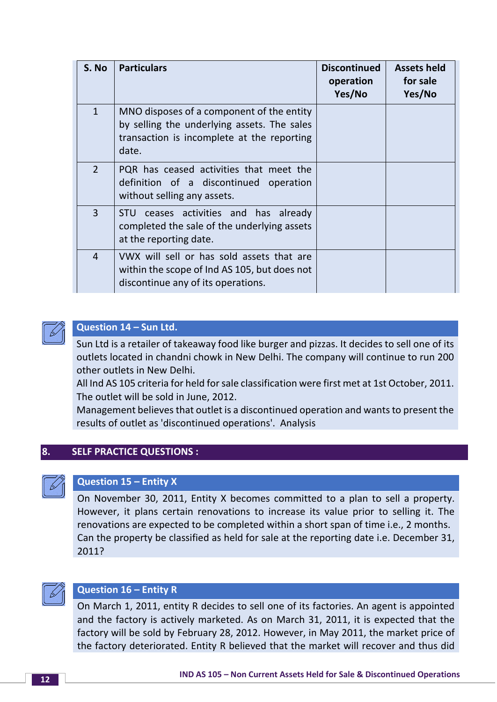| S. No          | <b>Particulars</b>                                                                                                                              | <b>Discontinued</b><br>operation<br>Yes/No | <b>Assets held</b><br>for sale<br>Yes/No |
|----------------|-------------------------------------------------------------------------------------------------------------------------------------------------|--------------------------------------------|------------------------------------------|
| $\mathbf{1}$   | MNO disposes of a component of the entity<br>by selling the underlying assets. The sales<br>transaction is incomplete at the reporting<br>date. |                                            |                                          |
| $\overline{2}$ | PQR has ceased activities that meet the<br>definition of a discontinued<br>operation<br>without selling any assets.                             |                                            |                                          |
| $\overline{3}$ | ceases activities and has already<br><b>STU</b><br>completed the sale of the underlying assets<br>at the reporting date.                        |                                            |                                          |
| 4              | VWX will sell or has sold assets that are<br>within the scope of Ind AS 105, but does not<br>discontinue any of its operations.                 |                                            |                                          |



## **Question 14 – Sun Ltd.**

Sun Ltd is a retailer of takeaway food like burger and pizzas. It decides to sell one of its outlets located in chandni chowk in New Delhi. The company will continue to run 200 other outlets in New Delhi.

All Ind AS 105 criteria for held for sale classification were first met at 1st October, 2011. The outlet will be sold in June, 2012.

Management believes that outlet is a discontinued operation and wants to present the results of outlet as 'discontinued operations'. Analysis

## **8. SELF PRACTICE QUESTIONS :**

#### **Question 15 – Entity X**

On November 30, 2011, Entity X becomes committed to a plan to sell a property. However, it plans certain renovations to increase its value prior to selling it. The renovations are expected to be completed within a short span of time i.e., 2 months. Can the property be classified as held for sale at the reporting date i.e. December 31, 2011?



#### **Question 16 – Entity R**

On March 1, 2011, entity R decides to sell one of its factories. An agent is appointed and the factory is actively marketed. As on March 31, 2011, it is expected that the factory will be sold by February 28, 2012. However, in May 2011, the market price of the factory deteriorated. Entity R believed that the market will recover and thus did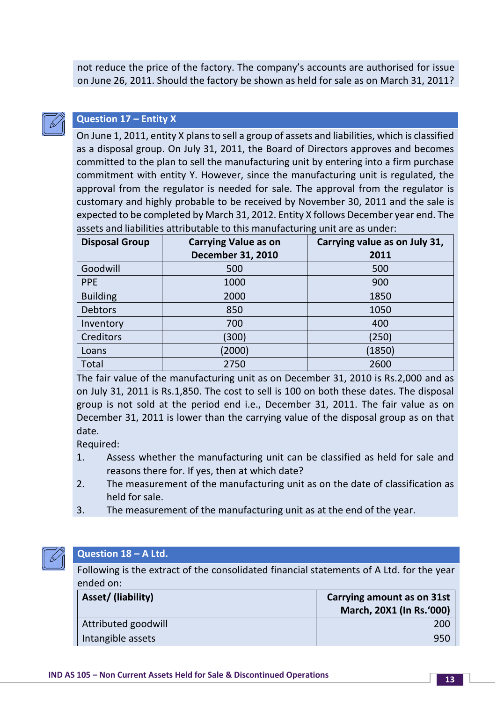not reduce the price of the factory. The company's accounts are authorised for issue on June 26, 2011. Should the factory be shown as held for sale as on March 31, 2011?



## **Question 17 – Entity X**

On June 1, 2011, entity X plans to sell a group of assets and liabilities, which is classified as a disposal group. On July 31, 2011, the Board of Directors approves and becomes committed to the plan to sell the manufacturing unit by entering into a firm purchase commitment with entity Y. However, since the manufacturing unit is regulated, the approval from the regulator is needed for sale. The approval from the regulator is customary and highly probable to be received by November 30, 2011 and the sale is expected to be completed by March 31, 2012. Entity X follows December year end. The assets and liabilities attributable to this manufacturing unit are as under:

| <b>Disposal Group</b> | <b>Carrying Value as on</b> | Carrying value as on July 31, |  |
|-----------------------|-----------------------------|-------------------------------|--|
|                       | <b>December 31, 2010</b>    | 2011                          |  |
| Goodwill              | 500                         | 500                           |  |
| <b>PPE</b>            | 1000                        | 900                           |  |
| <b>Building</b>       | 2000                        | 1850                          |  |
| <b>Debtors</b>        | 850                         | 1050                          |  |
| Inventory             | 700                         | 400                           |  |
| <b>Creditors</b>      | (300)                       | (250)                         |  |
| Loans                 | (2000)                      | (1850)                        |  |
| Total                 | 2750                        | 2600                          |  |

The fair value of the manufacturing unit as on December 31, 2010 is Rs.2,000 and as on July 31, 2011 is Rs.1,850. The cost to sell is 100 on both these dates. The disposal group is not sold at the period end i.e., December 31, 2011. The fair value as on December 31, 2011 is lower than the carrying value of the disposal group as on that date.

Required:

- 1. Assess whether the manufacturing unit can be classified as held for sale and reasons there for. If yes, then at which date?
- 2. The measurement of the manufacturing unit as on the date of classification as held for sale.
- 3. The measurement of the manufacturing unit as at the end of the year.



## **Question 18 – A Ltd.**

Following is the extract of the consolidated financial statements of A Ltd. for the year ended on:

| Asset/ (liability)  | <b>Carrying amount as on 31st</b> |  |
|---------------------|-----------------------------------|--|
|                     | March, 20X1 (In Rs.'000)          |  |
| Attributed goodwill | 200                               |  |
| Intangible assets   | 950                               |  |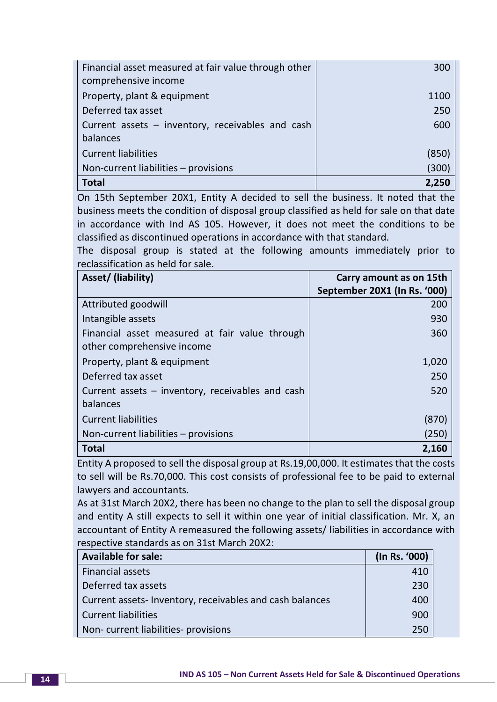| Financial asset measured at fair value through other | 300   |
|------------------------------------------------------|-------|
| comprehensive income                                 |       |
| Property, plant & equipment                          | 1100  |
| Deferred tax asset                                   | 250   |
| Current assets - inventory, receivables and cash     | 600   |
| balances                                             |       |
| <b>Current liabilities</b>                           | (850) |
| Non-current liabilities - provisions                 | (300) |
| <b>Total</b>                                         |       |

On 15th September 20X1, Entity A decided to sell the business. It noted that the business meets the condition of disposal group classified as held for sale on that date in accordance with Ind AS 105. However, it does not meet the conditions to be classified as discontinued operations in accordance with that standard.

The disposal group is stated at the following amounts immediately prior to reclassification as held for sale.

| Asset/ (liability)                               | Carry amount as on 15th      |
|--------------------------------------------------|------------------------------|
|                                                  | September 20X1 (In Rs. '000) |
| Attributed goodwill                              | 200                          |
| Intangible assets                                | 930                          |
| Financial asset measured at fair value through   | 360                          |
| other comprehensive income                       |                              |
| Property, plant & equipment                      | 1,020                        |
| Deferred tax asset                               | 250                          |
| Current assets – inventory, receivables and cash | 520                          |
| balances                                         |                              |
| <b>Current liabilities</b>                       | (870)                        |
| Non-current liabilities - provisions             | (250)                        |
| <b>Total</b>                                     | 2,160                        |

Entity A proposed to sell the disposal group at Rs.19,00,000. It estimates that the costs to sell will be Rs.70,000. This cost consists of professional fee to be paid to external lawyers and accountants.

As at 31st March 20X2, there has been no change to the plan to sell the disposal group and entity A still expects to sell it within one year of initial classification. Mr. X, an accountant of Entity A remeasured the following assets/ liabilities in accordance with respective standards as on 31st March 20X2:

| <b>Available for sale:</b>                              | (In Rs. '000) |
|---------------------------------------------------------|---------------|
| <b>Financial assets</b>                                 | 410           |
| Deferred tax assets                                     | 230           |
| Current assets-Inventory, receivables and cash balances | 400           |
| <b>Current liabilities</b>                              | 900           |
| Non-current liabilities-provisions                      | 250           |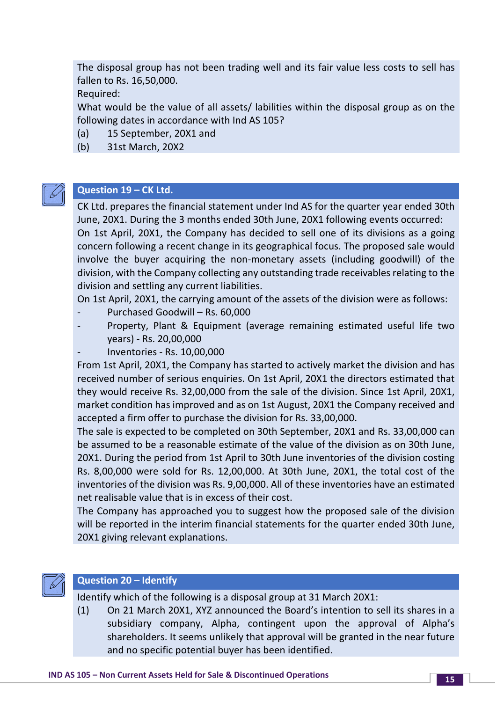The disposal group has not been trading well and its fair value less costs to sell has fallen to Rs. 16,50,000.

Required:

What would be the value of all assets/ labilities within the disposal group as on the following dates in accordance with Ind AS 105?

- (a) 15 September, 20X1 and
- (b) 31st March, 20X2



## **Question 19 – CK Ltd.**

CK Ltd. prepares the financial statement under Ind AS for the quarter year ended 30th June, 20X1. During the 3 months ended 30th June, 20X1 following events occurred: On 1st April, 20X1, the Company has decided to sell one of its divisions as a going concern following a recent change in its geographical focus. The proposed sale would involve the buyer acquiring the non-monetary assets (including goodwill) of the division, with the Company collecting any outstanding trade receivables relating to the

division and settling any current liabilities. On 1st April, 20X1, the carrying amount of the assets of the division were as follows:

- Purchased Goodwill Rs. 60,000
- Property, Plant & Equipment (average remaining estimated useful life two years) - Rs. 20,00,000
- Inventories Rs. 10,00,000

From 1st April, 20X1, the Company has started to actively market the division and has received number of serious enquiries. On 1st April, 20X1 the directors estimated that they would receive Rs. 32,00,000 from the sale of the division. Since 1st April, 20X1, market condition has improved and as on 1st August, 20X1 the Company received and accepted a firm offer to purchase the division for Rs. 33,00,000.

The sale is expected to be completed on 30th September, 20X1 and Rs. 33,00,000 can be assumed to be a reasonable estimate of the value of the division as on 30th June, 20X1. During the period from 1st April to 30th June inventories of the division costing Rs. 8,00,000 were sold for Rs. 12,00,000. At 30th June, 20X1, the total cost of the inventories of the division was Rs. 9,00,000. All of these inventories have an estimated net realisable value that is in excess of their cost.

The Company has approached you to suggest how the proposed sale of the division will be reported in the interim financial statements for the quarter ended 30th June, 20X1 giving relevant explanations.



## **Question 20 – Identify**

Identify which of the following is a disposal group at 31 March 20X1:

(1) On 21 March 20X1, XYZ announced the Board's intention to sell its shares in a subsidiary company, Alpha, contingent upon the approval of Alpha's shareholders. It seems unlikely that approval will be granted in the near future and no specific potential buyer has been identified.